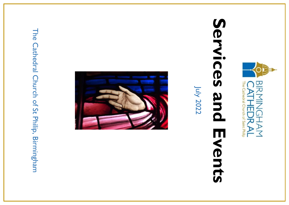The Cathedral Church of St Philip, Birmingham The Cathedral Church of St Philip, Birmingham





# Services and **Services and Events** Events

July 2022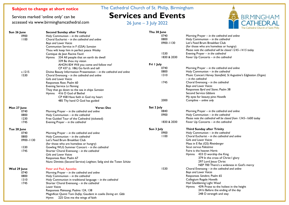Services marked 'online only' can be accessed via www.birminghamcathedral.com The Cathedral Church of St. Philip, Birmingham

# **Services and Events**

26 June – 3 July 2022



|               |                                                                        |             | <b>THE CALIFOLIAI CITUL</b>                                       |
|---------------|------------------------------------------------------------------------|-------------|-------------------------------------------------------------------|
| Sun 26 June   | <b>Second Sunday after Trinity</b>                                     | Thu 30 June |                                                                   |
| 0900          | Holy Communion - in the cathedral                                      | 0740        | Morning Prayer - in the cathedral and online                      |
| 1100          | Choral Eucharist - in the cathedral and online                         | 0800        | Holy Communion - in the cathedral                                 |
|               | <b>Boys and Lower Voices</b>                                           | 0900-1130   | Let's Feed Brum Breakfast Club                                    |
|               | Communion Service in F (GSA) Sumsion                                   |             | (for those who are homeless or hungry)                            |
|               | Thou wilt keep him in perfect peace Wesley                             |             | Please note the cathedral will be closed 1245-1415 today          |
|               | Cantique de Jean Racine Fauré                                          | 1530        | Evening Prayer $-$ in the cathedral                               |
|               | Hymns 334 All people that on earth do dwell                            | 1830 & 2030 | Fever Up Concerts - in the cathedral                              |
|               | 339 Be thou my vision                                                  |             |                                                                   |
|               | AHON 834 Will you come and follow me?                                  | Fri I July  |                                                                   |
|               | CP 437 (t. 186) Go forth and tell                                      | 0740        | Morning Prayer - in the cathedral and online                      |
| c.1215        | Divine Beauty Information Presentation $-$ in the cathedral and online | 0800        | Holy Communion - in the cathedral                                 |
| 1530          | Choral Evensong - in the cathedral and online                          | 1310        | Music Concert Harvey Stansfield, St Augustine's Edgbaston (Organ) |
|               | <b>Girls and Lower Voices</b>                                          |             | - in the cathedral                                                |
|               | Responses Rose; Psalm 60                                               | 1745        | Choral Evensong - in the cathedral                                |
|               | Evening Service Le Fleming                                             |             | Boys and Lower Voices                                             |
|               |                                                                        |             | Responses Byrd and Stone; Psalm 38                                |
|               | They that go down to the sea in ships Sumsion                          |             | <b>Second Service Gibbons</b>                                     |
|               | Hymns 416 O God of Bethel                                              |             |                                                                   |
|               | CP 458 Have faith in God my heart                                      |             | My eyes for beauty pine Howells                                   |
|               | 485 Thy hand O God has guided                                          | 2000        | Compline – online only                                            |
| Mon 27 June   | <b>Verse: Dec</b>                                                      | Sat 2 July  |                                                                   |
| 0740          | Morning Prayer - in the cathedral and online                           | 0840        | Morning Prayer - in the cathedral and online                      |
| 0800          | Holy Communion - in the cathedral                                      | 0900        | Holy Communion - in the cathedral                                 |
| 1230          | Free Guided Tour of the Cathedral (ticketed)                           |             | Please note the cathedral will be closed from 1345-1600 today     |
| 1745          | Evening Prayer – in the cathedral                                      | 1830 & 2030 | Fever Up Concerts – in the cathedral                              |
|               |                                                                        |             |                                                                   |
| Tue 28 June   |                                                                        | Sun 3 July  | <b>Third Sunday after Trinity</b>                                 |
| 0740          | Morning Prayer - in the cathedral and online                           | 0900        | Holy Communion - in the cathedral                                 |
| 0800          | Holy Communion $-$ in the cathedral                                    | 1100        | Choral Eucharist – in the cathedral and online                    |
| $0900 - 1130$ | Let's Feed Brum Breakfast Club                                         |             | Girls and Lower Voices                                            |
|               | (for those who are homeless or hungry)                                 |             | Mass in E flat (GS) Rheinberger                                   |
| 1330          | Gowling WLG Summer Concert - in the cathedral                          |             | Sicut cervus Palestrina                                           |
| 1745          | Shorter Choral Evensong - in the cathedral                             |             | Faire is the heaven Harris                                        |
|               | <b>Girls and Lower Voices</b>                                          |             | Hymns 433 O worship the King                                      |
|               | Responses Rose; Psalm 67                                               |             | 379 In the cross of Christ I glory                                |
|               | Nunc Dimittis (Second Service) Leighton; Selig sind die Toten Schütz   |             | 297 Lord Jesus Christ                                             |
|               |                                                                        |             | NEP 700 There's a wideness in God's mercy                         |
| Wed 29 June   | Peter and Paul, Apostles                                               | 1530        | Choral Evensong - in the cathedral and online                     |
| 0740          | Morning Prayer - in the cathedral and online                           |             | Boys and Lower Voices                                             |
| 0800          | Holy Communion - in the cathedral                                      |             | Responses Sanders; Psalm 65                                       |
| 1310          | Holy Communion in traditional language - in the cathedral              |             | Collegium Regale Howells                                          |
| 1745          | Shorter Choral Evensong - in the cathedral                             |             | Hail Gladdening Light Wood                                        |
|               | <b>Lower Voices</b>                                                    |             | Hymns 439i Praise to the holiest in the height                    |
|               | Responses Plainsong; Psalms 124, 138                                   |             | 24 lii Before the ending of the day                               |
|               | Magnificat Quinti Toni Dufay; Gaudent in coelis Dering arr. Gibb       |             | 248 O strength and stay                                           |
|               | Hymn 225 Give me the wings of faith                                    |             |                                                                   |
|               |                                                                        |             |                                                                   |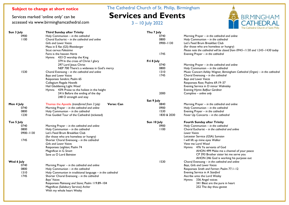Services marked 'online only' can be accessed via www.birminghamcathedral.com The Cathedral Church of St. Philip, Birmingham

# **Services and Events**

3 – 10 July 2022



| Sun 3 July    | <b>Third Sunday after Trinity</b>                          | Thu 7 July  |                                                                              |
|---------------|------------------------------------------------------------|-------------|------------------------------------------------------------------------------|
| 0900          | Holy Communion - in the cathedral                          | 0740        | Morning Prayer - in the cathedral and online                                 |
| 1100          | Choral Eucharist – in the cathedral and online             | 0800        | Holy Communion - in the cathedral                                            |
|               | <b>Girls and Lower Voices</b>                              | 0900-1130   | Let's Feed Brum Breakfast Club                                               |
|               | Mass in E flat (GS) Rheinberger                            |             | (for those who are homeless or hungry)                                       |
|               | Sicut cervus Palestrina                                    |             | Please note the cathedral will be closed from 0945-1130 and 1245-1430 today  |
|               | Faire is the heaven Harris                                 | 1745        |                                                                              |
|               |                                                            |             | Evening Prayer - in the cathedral                                            |
|               | Hymns 433 O worship the King                               |             |                                                                              |
|               | 379 In the cross of Christ I glory                         | Fri 8 July  |                                                                              |
|               | 297 Lord Jesus Christ                                      | 0740        | Morning Prayer - in the cathedral and online                                 |
|               | NEP 700 There's a wideness in God's mercy                  | 0800        | Holy Communion $-$ in the cathedral                                          |
| 1530          | Choral Evensong - in the cathedral and online              | 1310        | Music Concert Ashley Wagner, Birmingham Cathedral (Organ) - in the cathedral |
|               | <b>Boys and Lower Voices</b>                               | 1745        | Choral Evensong $-$ in the cathedral                                         |
|               | Responses Sanders; Psalm 65                                |             | <b>Boys and Lower Voices</b>                                                 |
|               | Collegium Regale Howells                                   |             | Responses Rose; Psalms 69.19-37                                              |
|               | Hail Gladdening Light Wood                                 |             | Evening Service in D minor Walmisley                                         |
|               | Hymns 439i Praise to the holiest in the height             |             | Evening Hymn Balfour Gardiner                                                |
|               | 24 lii Before the ending of the day                        | 2000        | Compline – online only                                                       |
|               | 248 O strength and stay                                    |             |                                                                              |
|               |                                                            | Sat 9 July  |                                                                              |
| Mon 4 July    | Verse: Can<br>Thomas the Apostle (transferred from 3 July) | 0840        | Morning Prayer - in the cathedral and online                                 |
| 0740          | Morning Prayer - in the cathedral and online               | 0900        | Holy Communion - in the cathedral                                            |
| 0800          | Holy Communion - in the cathedral                          | 1530        | Evening Prayer - in the cathedral                                            |
| 1230          | Free Guided Tour of the Cathedral (ticketed)               | 1830 & 2030 | Fever Up Concerts - in the cathedral                                         |
| Tue 5 July    |                                                            | Sun 10 July | <b>Fourth Sunday after Trinity</b>                                           |
| 0740          | Morning Prayer - in the cathedral and online               | 0900        | Holy Communion $-$ in the cathedral                                          |
| 0800          | Holy Communion - in the cathedral                          | 1100        | Choral Eucharist $-$ in the cathedral and online                             |
| $0900 - 1130$ | Let's Feed Brum Breakfast Club                             |             | <b>Lower Voices</b>                                                          |
|               | (for those who are homeless or hungry)                     |             | Leicester Service (GSA) Sumsion                                              |
| 1745          | Shorter Choral Evensong - in the cathedral                 |             | I will lift up mine eyes Walker                                              |
|               | <b>Girls and Lower Voices</b>                              |             | View me Lord Wood                                                            |
|               | Responses Leighton; Psalm 74                               |             | Hymns 476 Ye servants of God                                                 |
|               | Magnificat in G Smart                                      |             | AHON 499 Make me a channel of your peace                                     |
|               | Save us O Lord Bairstow                                    |             |                                                                              |
|               |                                                            |             | CP 393 Brother sister let me serve you                                       |
|               |                                                            |             | AHON 246 God is working his purpose out                                      |
| Wed 6 July    |                                                            | 1530        | Choral Evensong - in the cathedral and online                                |
| 0740          | Morning Prayer - in the cathedral and online               |             | Boys, Girls and Lower Voices                                                 |
| 0800          | Holy Communion - in the cathedral                          |             | Responses Smith and Farmer; Psalm 77.1-12                                    |
| 1310          | Holy Communion in traditional language - in the cathedral  |             | Evening Service in A Stanford                                                |
| 1745          | Shorter Choral Evensong - in the cathedral                 |             | Ascribe unto the Lord Wesley                                                 |
|               | Boys' Voices                                               |             | Hymns 336 Angel voices                                                       |
|               | Responses Plainsong and Stone; Psalm 119.89-104            |             | 341 Blest are the pure in heart                                              |
|               | Magnificat (Salisbury Service) Archer                      |             | 252 The day thou gavest                                                      |
|               | With my whole heart Wesley                                 |             |                                                                              |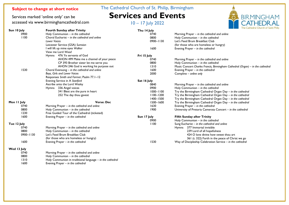Services marked 'online only' can be accessed via www.birminghamcathedral.com The Cathedral Church of St. Philip, Birmingham

# **Services and Events**

10 – 17 July 2022



|             |                                                             |               | The Cathedral Church of Sa                                                     |
|-------------|-------------------------------------------------------------|---------------|--------------------------------------------------------------------------------|
| Sun 10 July | <b>Fourth Sunday after Trinity</b>                          | Thu 14 July   |                                                                                |
| 0900        | Holy Communion - in the cathedral                           | 0740          | Morning Prayer - in the cathedral and online                                   |
| 1100        | Choral Eucharist - in the cathedral and online              | 0800          | Holy Communion - in the cathedral                                              |
|             | <b>Lower Voices</b>                                         | 0900-1130     | Let's Feed Brum Breakfast Club                                                 |
|             | Leicester Service (GSA) Sumsion                             |               | (for those who are homeless or hungry)                                         |
|             | I will lift up mine eyes Walker                             | 1600          | Evening Prayer $-$ in the cathedral                                            |
|             | View me Lord Wood                                           |               |                                                                                |
|             | Hymns 476 Ye servants of God                                | Fri 15 July   |                                                                                |
|             | AHON 499 Make me a channel of your peace                    | 0740          | Morning Prayer - in the cathedral and online                                   |
|             | CP 393 Brother sister let me serve you                      | 0800          | Holy Communion - in the cathedral                                              |
|             | AHON 246 God is working his purpose out                     | 1310          | Music Concert Charles Francis, Birmingham Cathedral (Organ) – in the cathedral |
| 1530        | Choral Evensong $-$ in the cathedral and online             | 1600          | Evening Prayer - in the cathedral                                              |
|             | Boys, Girls and Lower Voices                                | 2000          | Compline – online only                                                         |
|             | Responses Smith and Farmer; Psalm 77.1-12                   |               |                                                                                |
|             | Evening Service in A Stanford                               | Sat 16 July   |                                                                                |
|             | Ascribe unto the Lord Wesley                                | 0840          | Morning Prayer - in the cathedral and online                                   |
|             | Hymns 336 Angel voices                                      | 0900          | Holy Communion - in the cathedral                                              |
|             | 341 Blest are the pure in heart                             | 1000-1100     | Try the Birmingham Cathedral Organ Day - in the cathedral                      |
|             | 252 The day thou gavest                                     | $1100 - 1200$ | Try the Birmingham Cathedral Organ Day - in the cathedral                      |
|             |                                                             | 1400-1500     | Try the Birmingham Cathedral Organ Day - in the cathedral                      |
| Mon 11 July | <b>Verse: Dec</b>                                           | 1500-1600     | Try the Birmingham Cathedral Organ Day - in the cathedral                      |
| 0740        | Morning Prayer - in the cathedral and online                | 1630          | Evening Prayer - in the cathedral                                              |
| 0800        | Holy Communion - in the cathedral                           | 1900          | University of Pretoria Camerata Concert - in the cathedral                     |
| 1230        |                                                             |               |                                                                                |
|             | Free Guided Tour of the Cathedral (ticketed)                |               |                                                                                |
| 1600        | Evening Prayer - in the cathedral                           | Sun 17 July   | <b>Fifth Sunday after Trinity</b>                                              |
|             |                                                             | 0900          | Holy Communion - in the cathedral                                              |
| Tue 12 July |                                                             | 1100          | Sung Eucharist $-$ in the cathedral and online                                 |
| 0740        | Morning Prayer - in the cathedral and online                |               | Hymns 377 Immortal invisible                                                   |
| 0800        | Holy Communion - in the cathedral                           |               | 239 Lord of all hopefulness                                                    |
| 0900-1130   | Let's Feed Brum Breakfast Club                              |               | 424 O love divine how sweet thou art                                           |
|             | (for those who are homeless or hungry)                      |               | 361 (t. 322) Forth in the peace of Christ we go                                |
| 1600        | Evening Prayer - in the cathedral                           | 1530          | Way of Discipleship Celebration Service - in the cathedral                     |
| Wed 13 July |                                                             |               |                                                                                |
| 0740        | Morning Prayer - in the cathedral and online                |               |                                                                                |
| 0800        | Holy Communion - in the cathedral                           |               |                                                                                |
| 1310        | Holy Communion in traditional language $-$ in the cathedral |               |                                                                                |

1600 Evening Prayer – *in the cathedral*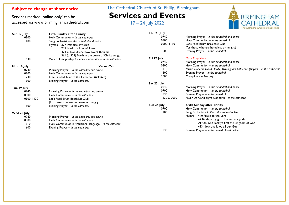Services marked 'online only' can be accessed via www.birminghamcathedral.com The Cathedral Church of St. Philip, Birmingham **Services and Events**

17 – 24 July 2022



| Sun 17 July | <b>Fifth Sunday after Trinity</b>                          | Thu 21 July   |                                                                             |
|-------------|------------------------------------------------------------|---------------|-----------------------------------------------------------------------------|
| 0900        | Holy Communion $-$ in the cathedral                        | 0740          | Morning Prayer $-$ in the cathedral and online                              |
| 1100        | Sung Eucharist $-$ in the cathedral and online             | 0800          | Holy Communion - in the cathedral                                           |
|             | Hymns 377 Immortal invisible                               | $0900 - 1130$ | Let's Feed Brum Breakfast Club                                              |
|             | 239 Lord of all hopefulness                                |               | (for those who are homeless or hungry)                                      |
|             | 424 O love divine how sweet thou art                       | 1600          | Evening Prayer $-$ in the cathedral                                         |
|             | 361 (t. 322) Forth in the peace of Christ we go            |               |                                                                             |
| 1530        | Way of Discipleship Celebration Service - in the cathedral | Fri 22 July   | Mary Magdalene                                                              |
|             |                                                            | 0740          | Morning Prayer $-$ in the cathedral and online                              |
| Mon 18 July | Verse: Can                                                 | 0800          | Holy Communion - in the cathedral                                           |
| 0740        | Morning Prayer - in the cathedral and online               | 1310          | Music Concert David Hardie, Birmingham Cathedral (Organ) – in the cathedral |
| 0800        | Holy Communion $-$ in the cathedral                        | 1600          | Evening Prayer $-$ in the cathedral                                         |
| 1230        | Free Guided Tour of the Cathedral (ticketed)               | 2000          | Compline – online only                                                      |
| 1600        | Evening Prayer - in the cathedral                          |               |                                                                             |
|             |                                                            | Sat 23 July   |                                                                             |
| Tue 19 July |                                                            | 0840          | Morning Prayer $-$ in the cathedral and online                              |
| 0740        | Morning Prayer - in the cathedral and online               | 0900          | Holy Communion - in the cathedral                                           |
| 0800        | Holy Communion $-$ in the cathedral                        | 1530          | Evening Prayer $-$ in the cathedral                                         |
| 0900-1130   | Let's Feed Brum Breakfast Club                             | 1830 & 2030   | Fever Up Candlelight Concerts - in the cathedral                            |
|             | (for those who are homeless or hungry)                     |               |                                                                             |
| 1600        | Evening Prayer - in the cathedral                          | Sun 24 July   | <b>Sixth Sunday after Trinity</b>                                           |
|             |                                                            | 0900          | Holy Communion - in the cathedral                                           |
| Wed 20 July |                                                            | 1100          | Sung Eucharist $-$ in the cathedral and online                              |
| 0740        | Morning Prayer - in the cathedral and online               |               | Hymns 440 Praise to the Lord                                                |
| 0800        | Holy Communion – in the cathedral                          |               | 64 Be thou my guardian and my guide                                         |
| 1310        | Holy Communion in traditional language - in the cathedral  |               | AHON 652 Seek ye first the kingdom of God                                   |
| 1600        | Evening Prayer - in the cathedral                          |               | 413 Now thank we all our God                                                |
|             |                                                            | 1530          | Evening Prayer $-$ in the cathedral and online                              |